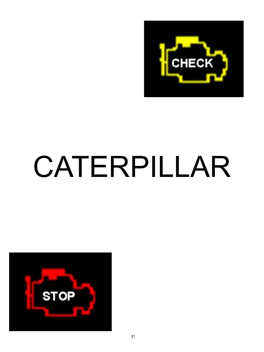

# CATERPILLAR

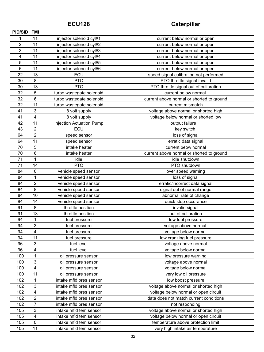# **ECU128 Caterpillar**

| <b>PID/SID</b> | <b>FMI</b>                |                          |                                           |
|----------------|---------------------------|--------------------------|-------------------------------------------|
| 1              | 11                        | injector solenoid cyl#1  | current below normal or open              |
| $\overline{2}$ | 11                        | injector solenoid cyl#2  | current below normal or open              |
| $\overline{3}$ | 11                        | injector solenoid cyl#3  | current below normal or open              |
| 4              | 11                        | injector solenoid cyl#4  | current below normal or open              |
| 5              | 11                        | injector solenoid cyl#5  | current below normal or open              |
| 6              | 11                        | injector solenoid cyl#6  | current below normal or open              |
| 22             | 13                        | ECU                      | speed signal calibration not performed    |
| 30             | 8                         | <b>PTO</b>               | PTO throttle signal invalid               |
| 30             | 13                        | <b>PTO</b>               | PTO throttle signal out of calibration    |
| 32             | 5                         | turbo wastegate solenoid | current below normal                      |
| 32             | 6                         | turbo wastegate solenoid | current above normal or shorted to ground |
| 32             | 11                        | turbo wastegate solenoid | current mismatch                          |
| 41             | 3                         | 8 volt supply            | voltage above normal or shorted high      |
| 41             | 4                         | 8 volt supply            | voltage below normal or shorted low       |
| 42             | 11                        | Injection Actuation Pump | output failure                            |
| 43             | $\overline{2}$            | ECU                      | key switch                                |
| 64             | $\mathbf 2$               | speed sensor             | loss of signal                            |
| 64             | 11                        | speed sensor             | erratic data signal                       |
| 70             | 5                         | intake heater            | current beow normal                       |
| 70             | 6                         | intake heater            | current above normal or shorted to ground |
| 71             | $\mathbf 1$               | idle                     | idle shutdown                             |
| 71             | 14                        | <b>PTO</b>               | PTO shutdown                              |
| 84             | 0                         | vehicle speed sensor     | over speed warning                        |
| 84             | $\mathbf{1}$              | vehicle speed sensor     | loss of signal                            |
| 84             | $\overline{c}$            | vehicle speed sensor     | erratic/incorrect data signal             |
| 84             | 8                         | vehicle speed sensor     | signal out of normal range                |
| 84             | 10                        | vehicle speed sensor     | abnornal rate of change                   |
| 84             | 14                        | vehicle speed sensor     | quick stop occurance                      |
| 91             | 8                         | throttle position        | invalid signal                            |
| 91             | 13                        | throttle position        | out of calibration                        |
| 94             | 1                         | fuel pressure            | low fuel pressure                         |
| 94             | 3                         | fuel pressure            | voltage above normal                      |
| 94             | $\overline{\mathbf{4}}$   | fuel pressure            | voltage below normal                      |
| 94             | 11                        | fuel pressure            | low cranking fuel pressure                |
| 96             | 3                         | fuel level               | voltage above normal                      |
| 96             | $\overline{\mathbf{4}}$   | fuel level               | voltage below normal                      |
| 100            | $\mathbf 1$               | oil pressure sensor      | low pressure warning                      |
| 100            | $\ensuremath{\mathsf{3}}$ | oil pressure sensor      | voltage above normal                      |
| 100            | $\overline{\mathbf{4}}$   | oil pressure sensor      | voltage below normal                      |
| 100            | 11                        | oil pressure sensor      | very low oil pressure                     |
| 102            | 1                         | intake mfld pres sensor  | low boost pressure                        |
| 102            | $\ensuremath{\mathsf{3}}$ | intake mfld pres sensor  | voltage above normal or shorted high      |
| 102            | $\overline{\mathbf{4}}$   | intake mfld pres sensor  | voltage below normal or open circuit      |
| 102            | $\boldsymbol{2}$          | intake mfld pres sensor  | data does not match current conditions    |
| 102            | $\overline{7}$            | intake mfld pres sensor  | not responding                            |
| 105            | $\ensuremath{\mathsf{3}}$ | intake mfld tem sensor   | voltage above normal or shorted high      |
| 105            | $\overline{\mathbf{4}}$   | intake mfld tem sensor   | voltage below normal or open circuit      |
| 105            | $\pmb{0}$                 | intake mfld tem sensor   | temperature above protection limit        |
| 105            | 11                        | intake mfld tem sensor   | very high intake air temperature          |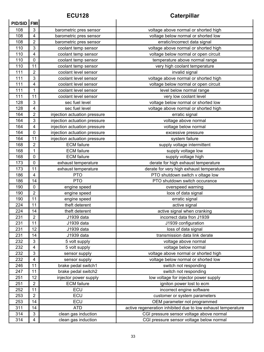### **ECU128 Caterpillar**

| PID/SID FMI |                         |                              |                                                              |
|-------------|-------------------------|------------------------------|--------------------------------------------------------------|
| 108         | 3                       | barometric pres sensor       | voltage above normal or shorted high                         |
| 108         | $\overline{\mathbf{4}}$ | barometric pres sensor       | voltage below normal or shorted low                          |
| 108         | $\overline{c}$          | barometric pres sensor       | erratic/incorrect data signal                                |
| 110         | 3                       | coolant temp sensor          | voltage above normal or shorted high                         |
| 110         | 4                       | coolant temp sensor          | voltage below normal or open circuit                         |
| 110         | 0                       | coolant temp sensor          | temperature above normal range                               |
| 110         | 11                      | coolant temp sensor          | very high coolant temperature                                |
| 111         | $\overline{2}$          | coolant level sensor         | invalid signal                                               |
| 111         | 3                       | coolant level sensor         | voltage above normal or shorted high                         |
| 111         | 4                       | coolant level sensor         | voltage below normal or open circuit                         |
| 111         | 1                       | coolant level sensor         | level below normal range                                     |
| 111         | 11                      | coolant level sensor         | very low coolant level                                       |
| 128         | 3                       | sec fuel level               | voltage below normal or shorted low                          |
| 128         | 4                       | sec fuel level               | voltage above normal or shorted high                         |
| 164         | $\overline{2}$          | injection actuation pressure | erratic signal                                               |
| 164         | 3                       | injection actuation pressure | voltage above normal                                         |
| 164         | $\overline{4}$          | injection actuation pressure | voltage below normal                                         |
| 164         | 0                       | injection actuation pressure | excessive pressure                                           |
| 164         | 11                      | injection actuation pressure | system failure                                               |
| 168         | $\overline{2}$          | <b>ECM</b> failure           | supply voltage intermittent                                  |
| 168         | 1                       | <b>ECM</b> failure           | supply voltage low                                           |
| 168         | 0                       | <b>ECM</b> failure           | supply voltage high                                          |
| 173         | 0                       | exhaust temperature          | derate for high exhaust temperature                          |
| 173         | 11                      | exhaust temperature          | derate for very high exhaust temperature                     |
| 186         | 4                       | <b>PTO</b>                   | PTO shutdown switch v oltage low                             |
| 186         | 14                      | <b>PTO</b>                   | PTO shutdown switch occurance                                |
| 190         | 0                       | engine speed                 | overspeed warning                                            |
| 190         | $\overline{2}$          | engine speed                 | loos of data signal                                          |
| 190         | 11                      | engine speed                 | erratic signal                                               |
| 224         | 11                      | theft deterent               | active signal                                                |
| 224         | 14                      | theft deterent               | active signal when cranking                                  |
| 231         | $\overline{2}$          | J1939 data                   | incorrect data fron J1939                                    |
| 231         | $\overline{11}$         | J1939 data                   | J1939 configuration                                          |
| 231         | 12                      | J1939 data                   | loss of data signal                                          |
| 231         | 14                      | J1939 data                   | transmission data link derate                                |
| 232         | 3                       | 5 volt supply                | voltage above normal                                         |
| 232         | 4                       | 5 volt supply                | voltage below normal                                         |
| 232         | 3                       | sensor supply                | voltage above normal or shorted high                         |
| 232         | 4                       | sensor supply                | voltage below normal or shorted low                          |
| 246         | 11                      | brake pedal switch1          | switch not responding                                        |
| 247         | 11                      | brake pedal switch2          | switch not responding                                        |
| 251         | 12                      | injector power supply        | low voltage for injector power supply                        |
| 251         | $\overline{2}$          | <b>ECM</b> failure           | igniton power lost to ecm                                    |
| 252         | 11                      | ECU                          | incorrect engine software                                    |
| 253         | $\overline{c}$          | ECU                          | customer or system parameters                                |
| 253         | 14                      | ECU                          | OEM parameter not programmed                                 |
| 311         | 14                      | <b>ATD</b>                   | active regeneration inhibited due to low exhaust temperature |
| 314         | 3                       | clean gas induction          | CGI pressure sensor voltage above normal                     |
| 314         | 4                       | clean gas induction          | CGI pressure sensor voltage below normal                     |